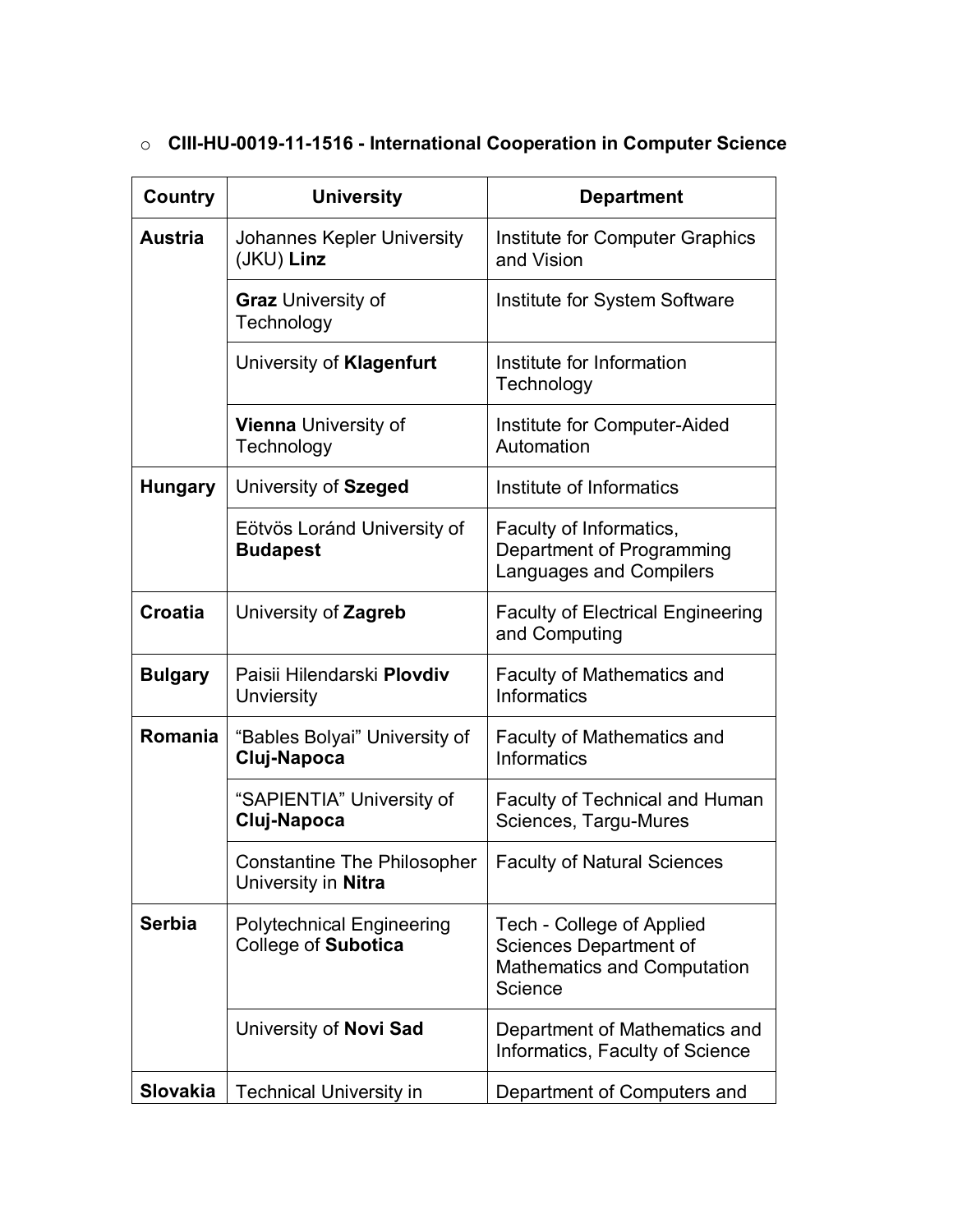| Country         | <b>University</b>                                         | <b>Department</b>                                                                                    |
|-----------------|-----------------------------------------------------------|------------------------------------------------------------------------------------------------------|
| <b>Austria</b>  | Johannes Kepler University<br>(JKU) Linz                  | Institute for Computer Graphics<br>and Vision                                                        |
|                 | <b>Graz</b> University of<br>Technology                   | Institute for System Software                                                                        |
|                 | University of Klagenfurt                                  | Institute for Information<br>Technology                                                              |
|                 | <b>Vienna</b> University of<br>Technology                 | Institute for Computer-Aided<br>Automation                                                           |
| <b>Hungary</b>  | University of Szeged                                      | Institute of Informatics                                                                             |
|                 | Eötvös Loránd University of<br><b>Budapest</b>            | Faculty of Informatics,<br>Department of Programming<br>Languages and Compilers                      |
| <b>Croatia</b>  | University of Zagreb                                      | <b>Faculty of Electrical Engineering</b><br>and Computing                                            |
| <b>Bulgary</b>  | Paisii Hilendarski Plovdiv<br>Unviersity                  | Faculty of Mathematics and<br>Informatics                                                            |
| <b>Romania</b>  | "Bables Bolyai" University of<br>Cluj-Napoca              | <b>Faculty of Mathematics and</b><br>Informatics                                                     |
|                 | "SAPIENTIA" University of<br>Cluj-Napoca                  | <b>Faculty of Technical and Human</b><br>Sciences, Targu-Mures                                       |
|                 | <b>Constantine The Philosopher</b><br>University in Nitra | <b>Faculty of Natural Sciences</b>                                                                   |
| <b>Serbia</b>   | <b>Polytechnical Engineering</b><br>College of Subotica   | Tech - College of Applied<br>Sciences Department of<br><b>Mathematics and Computation</b><br>Science |
|                 | University of Novi Sad                                    | Department of Mathematics and<br>Informatics, Faculty of Science                                     |
| <b>Slovakia</b> | <b>Technical University in</b>                            | Department of Computers and                                                                          |

## o **CIII-HU-0019-11-1516 - International Cooperation in Computer Science**